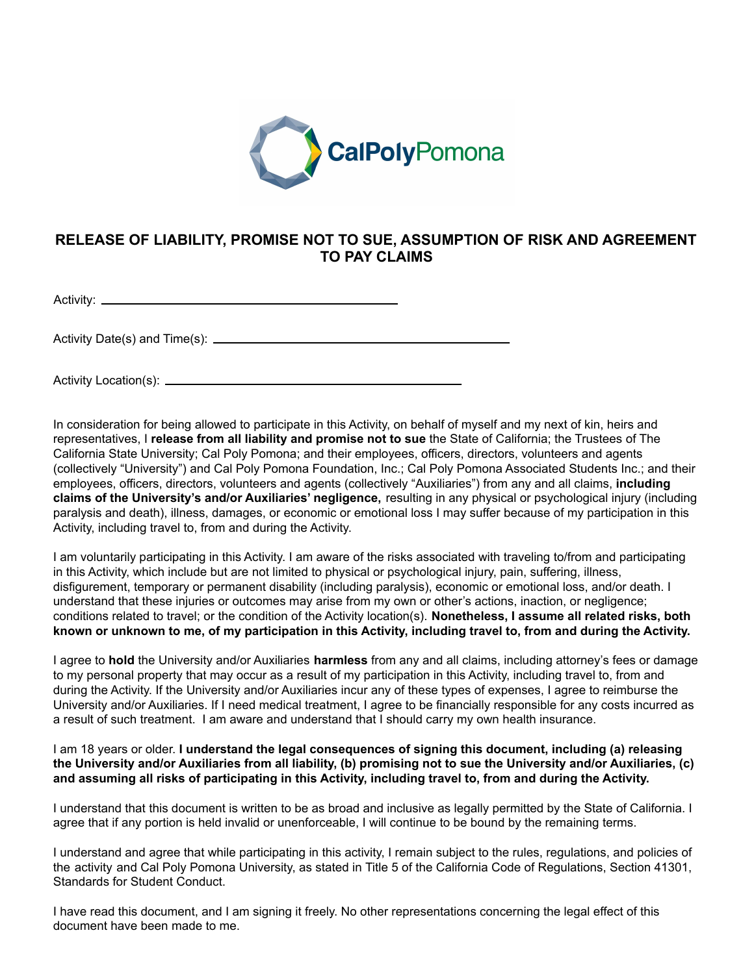

## **RELEASE OF LIABILITY, PROMISE NOT TO SUE, ASSUMPTION OF RISK AND AGREEMENT TO PAY CLAIMS**

Activity: \_

Activity Date(s) and Time(s):

Activity Location(s):

In consideration for being allowed to participate in this Activity, on behalf of myself and my next of kin, heirs and representatives, I **release from all liability and promise not to sue** the State of California; the Trustees of The California State University; Cal Poly Pomona; and their employees, officers, directors, volunteers and agents (collectively "University") and Cal Poly Pomona Foundation, Inc.; Cal Poly Pomona Associated Students Inc.; and their employees, officers, directors, volunteers and agents (collectively "Auxiliaries") from any and all claims, **including claims of the University's and/or Auxiliaries' negligence,** resulting in any physical or psychological injury (including paralysis and death), illness, damages, or economic or emotional loss I may suffer because of my participation in this Activity, including travel to, from and during the Activity.

I am voluntarily participating in this Activity. I am aware of the risks associated with traveling to/from and participating in this Activity, which include but are not limited to physical or psychological injury, pain, suffering, illness, disfigurement, temporary or permanent disability (including paralysis), economic or emotional loss, and/or death. I understand that these injuries or outcomes may arise from my own or other's actions, inaction, or negligence; conditions related to travel; or the condition of the Activity location(s). **Nonetheless, I assume all related risks, both** known or unknown to me, of my participation in this Activity, including travel to, from and during the Activity.

I agree to **hold** the University and/or Auxiliaries **harmless** from any and all claims, including attorney's fees or damage to my personal property that may occur as a result of my participation in this Activity, including travel to, from and during the Activity. If the University and/or Auxiliaries incur any of these types of expenses, I agree to reimburse the University and/or Auxiliaries. If I need medical treatment, I agree to be financially responsible for any costs incurred as a result of such treatment. I am aware and understand that I should carry my own health insurance.

I am 18 years or older. **I understand the legal consequences of signing this document, including (a) releasing** the University and/or Auxiliaries from all liability, (b) promising not to sue the University and/or Auxiliaries, (c) and assuming all risks of participating in this Activity, including travel to, from and during the Activity.

I understand that this document is written to be as broad and inclusive as legally permitted by the State of California. I agree that if any portion is held invalid or unenforceable, I will continue to be bound by the remaining terms.

I understand and agree that while participating in this activity, I remain subject to the rules, regulations, and policies of the activity and Cal Poly Pomona University, as stated in Title 5 of the California Code of Regulations, Section 41301, Standards for Student Conduct.

I have read this document, and I am signing it freely. No other representations concerning the legal effect of this document have been made to me.